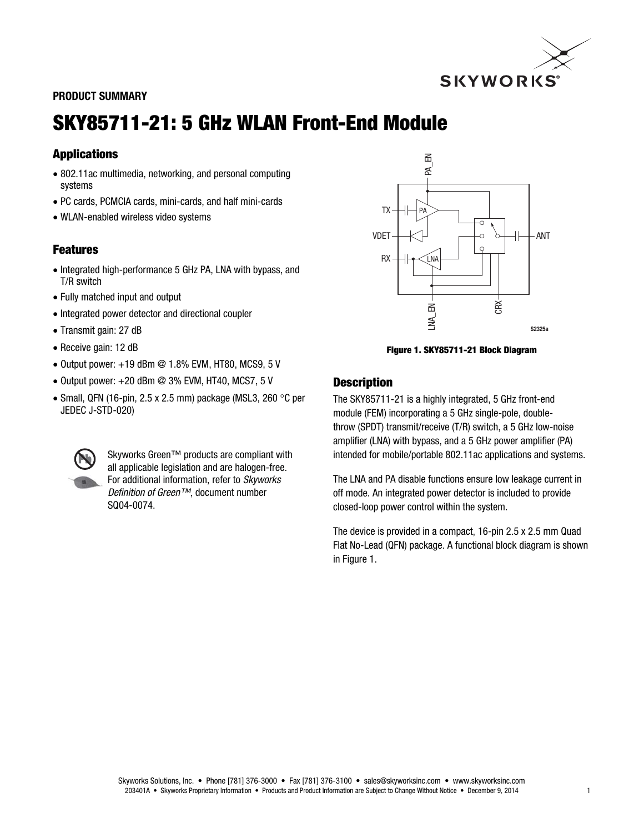

### PRODUCT SUMMARY

# SKY85711-21: 5 GHz WLAN Front-End Module

# **Applications**

- 802.11ac multimedia, networking, and personal computing systems
- PC cards, PCMCIA cards, mini-cards, and half mini-cards
- WLAN-enabled wireless video systems

# **Features**

- Integrated high-performance 5 GHz PA, LNA with bypass, and T/R switch
- Fully matched input and output
- Integrated power detector and directional coupler
- Transmit gain: 27 dB
- Receive gain: 12 dB
- $\bullet$  Output power:  $+19$  dBm  $@$  1.8% EVM, HT80, MCS9, 5 V
- $\bullet$  Output power: +20 dBm @ 3% EVM, HT40, MCS7, 5 V
- Small, QFN (16-pin, 2.5 x 2.5 mm) package (MSL3, 260  $\degree$ C per JEDEC J-STD-020)



Skyworks Green™ products are compliant with all applicable legislation and are halogen-free. For additional information, refer to *Skyworks Definition of Green™*, document number SQ04-0074.



Figure 1. SKY85711-21 Block Diagram

#### **Description**

The SKY85711-21 is a highly integrated, 5 GHz front-end module (FEM) incorporating a 5 GHz single-pole, doublethrow (SPDT) transmit/receive (T/R) switch, a 5 GHz low-noise amplifier (LNA) with bypass, and a 5 GHz power amplifier (PA) intended for mobile/portable 802.11ac applications and systems.

The LNA and PA disable functions ensure low leakage current in off mode. An integrated power detector is included to provide closed-loop power control within the system.

The device is provided in a compact, 16-pin 2.5 x 2.5 mm Quad Flat No-Lead (QFN) package. A functional block diagram is shown in Figure 1.